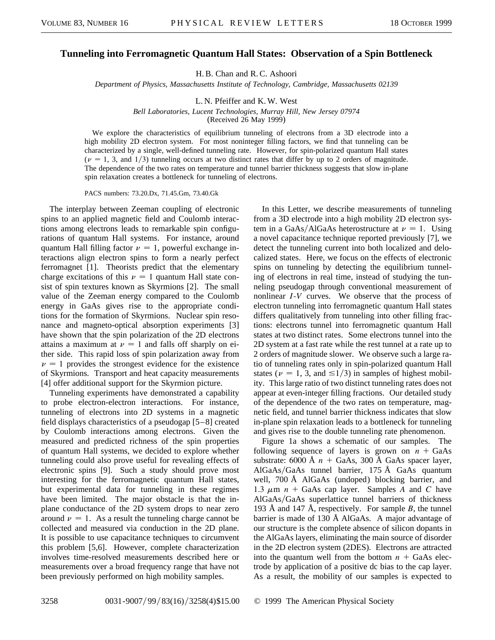## **Tunneling into Ferromagnetic Quantum Hall States: Observation of a Spin Bottleneck**

H. B. Chan and R. C. Ashoori

*Department of Physics, Massachusetts Institute of Technology, Cambridge, Massachusetts 02139*

L. N. Pfeiffer and K. W. West

*Bell Laboratories, Lucent Technologies, Murray Hill, New Jersey 07974*

(Received 26 May 1999)

We explore the characteristics of equilibrium tunneling of electrons from a 3D electrode into a high mobility 2D electron system. For most noninteger filling factors, we find that tunneling can be characterized by a single, well-defined tunneling rate. However, for spin-polarized quantum Hall states  $(\nu = 1, 3, \text{ and } 1/3)$  tunneling occurs at two distinct rates that differ by up to 2 orders of magnitude. The dependence of the two rates on temperature and tunnel barrier thickness suggests that slow in-plane spin relaxation creates a bottleneck for tunneling of electrons.

PACS numbers: 73.20.Dx, 71.45.Gm, 73.40.Gk

The interplay between Zeeman coupling of electronic spins to an applied magnetic field and Coulomb interactions among electrons leads to remarkable spin configurations of quantum Hall systems. For instance, around quantum Hall filling factor  $\nu = 1$ , powerful exchange interactions align electron spins to form a nearly perfect ferromagnet [1]. Theorists predict that the elementary charge excitations of this  $\nu = 1$  quantum Hall state consist of spin textures known as Skyrmions [2]. The small value of the Zeeman energy compared to the Coulomb energy in GaAs gives rise to the appropriate conditions for the formation of Skyrmions. Nuclear spin resonance and magneto-optical absorption experiments [3] have shown that the spin polarization of the 2D electrons attains a maximum at  $\nu = 1$  and falls off sharply on either side. This rapid loss of spin polarization away from  $\nu = 1$  provides the strongest evidence for the existence of Skyrmions. Transport and heat capacity measurements [4] offer additional support for the Skyrmion picture.

Tunneling experiments have demonstrated a capability to probe electron-electron interactions. For instance, tunneling of electrons into 2D systems in a magnetic field displays characteristics of a pseudogap [5–8] created by Coulomb interactions among electrons. Given the measured and predicted richness of the spin properties of quantum Hall systems, we decided to explore whether tunneling could also prove useful for revealing effects of electronic spins [9]. Such a study should prove most interesting for the ferromagnetic quantum Hall states, but experimental data for tunneling in these regimes have been limited. The major obstacle is that the inplane conductance of the 2D system drops to near zero around  $\nu = 1$ . As a result the tunneling charge cannot be collected and measured via conduction in the 2D plane. It is possible to use capacitance techniques to circumvent this problem [5,6]. However, complete characterization involves time-resolved measurements described here or measurements over a broad frequency range that have not been previously performed on high mobility samples.

In this Letter, we describe measurements of tunneling from a 3D electrode into a high mobility 2D electron system in a GaAs/AlGaAs heterostructure at  $\nu = 1$ . Using a novel capacitance technique reported previously [7], we detect the tunneling current into both localized and delocalized states. Here, we focus on the effects of electronic spins on tunneling by detecting the equilibrium tunneling of electrons in real time, instead of studying the tunneling pseudogap through conventional measurement of nonlinear *I*-*V* curves. We observe that the process of electron tunneling into ferromagnetic quantum Hall states differs qualitatively from tunneling into other filling fractions: electrons tunnel into ferromagnetic quantum Hall states at two distinct rates. Some electrons tunnel into the 2D system at a fast rate while the rest tunnel at a rate up to 2 orders of magnitude slower. We observe such a large ratio of tunneling rates only in spin-polarized quantum Hall states ( $\nu = 1, 3$ , and  $\leq 1/3$ ) in samples of highest mobility. This large ratio of two distinct tunneling rates does not appear at even-integer filling fractions. Our detailed study of the dependence of the two rates on temperature, magnetic field, and tunnel barrier thickness indicates that slow in-plane spin relaxation leads to a bottleneck for tunneling and gives rise to the double tunneling rate phenomenon.

Figure 1a shows a schematic of our samples. The following sequence of layers is grown on  $n + GaAs$ substrate:  $6000 \text{ Å } n + \text{GaAs}$ , 300 Å GaAs spacer layer, AlGaAs/GaAs tunnel barrier, 175 Å GaAs quantum well, 700 Å AlGaAs (undoped) blocking barrier, and 1.3  $\mu$ m *n* + GaAs cap layer. Samples *A* and *C* have AlGaAs/GaAs superlattice tunnel barriers of thickness 193 Å and 147 Å, respectively. For sample *B*, the tunnel barrier is made of 130 Å AlGaAs. A major advantage of our structure is the complete absence of silicon dopants in the AlGaAs layers, eliminating the main source of disorder in the 2D electron system (2DES). Electrons are attracted into the quantum well from the bottom  $n + GaAs$  electrode by application of a positive dc bias to the cap layer. As a result, the mobility of our samples is expected to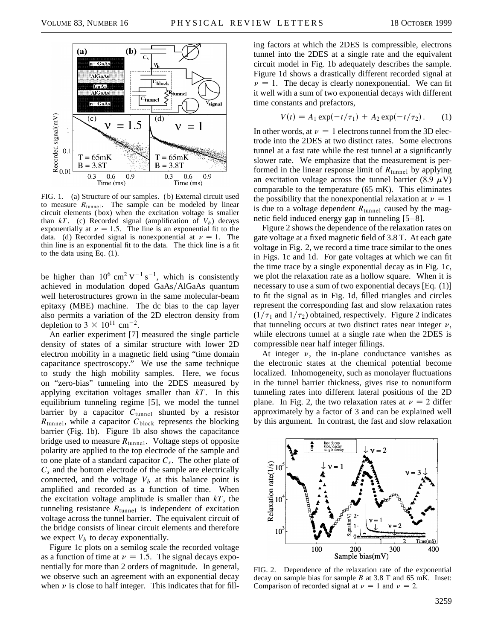

FIG. 1. (a) Structure of our samples. (b) External circuit used to measure  $R_{\text{tunnel}}$ . The sample can be modeled by linear circuit elements (box) when the excitation voltage is smaller than  $kT$ . (c) Recorded signal (amplification of  $V_b$ ) decays exponentially at  $\nu = 1.5$ . The line is an exponential fit to the data. (d) Recorded signal is nonexponential at  $\nu = 1$ . The thin line is an exponential fit to the data. The thick line is a fit to the data using Eq. (1).

be higher than  $10^6$  cm<sup>2</sup> V<sup>-1</sup> s<sup>-1</sup>, which is consistently achieved in modulation doped GaAs/AlGaAs quantum well heterostructures grown in the same molecular-beam epitaxy (MBE) machine. The dc bias to the cap layer also permits a variation of the 2D electron density from depletion to  $3 \times 10^{11}$  cm<sup>-2</sup>.

An earlier experiment [7] measured the single particle density of states of a similar structure with lower 2D electron mobility in a magnetic field using "time domain capacitance spectroscopy." We use the same technique to study the high mobility samples. Here, we focus on "zero-bias" tunneling into the 2DES measured by applying excitation voltages smaller than *kT*. In this equilibrium tunneling regime [5], we model the tunnel barrier by a capacitor *C*tunnel shunted by a resistor  $R_{\text{tunnel}}$ , while a capacitor  $C_{\text{block}}$  represents the blocking barrier (Fig. 1b). Figure 1b also shows the capacitance bridge used to measure  $R_{\text{tunnel}}$ . Voltage steps of opposite polarity are applied to the top electrode of the sample and to one plate of a standard capacitor *Cs*. The other plate of *Cs* and the bottom electrode of the sample are electrically connected, and the voltage  $V_b$  at this balance point is amplified and recorded as a function of time. When the excitation voltage amplitude is smaller than *kT*, the tunneling resistance  $R_{\text{tunnel}}$  is independent of excitation voltage across the tunnel barrier. The equivalent circuit of the bridge consists of linear circuit elements and therefore we expect  $V_b$  to decay exponentially.

Figure 1c plots on a semilog scale the recorded voltage as a function of time at  $\nu = 1.5$ . The signal decays exponentially for more than 2 orders of magnitude. In general, we observe such an agreement with an exponential decay when  $\nu$  is close to half integer. This indicates that for fill-

ing factors at which the 2DES is compressible, electrons tunnel into the 2DES at a single rate and the equivalent circuit model in Fig. 1b adequately describes the sample. Figure 1d shows a drastically different recorded signal at  $\nu = 1$ . The decay is clearly nonexponential. We can fit it well with a sum of two exponential decays with different time constants and prefactors,

$$
V(t) = A_1 \exp(-t/\tau_1) + A_2 \exp(-t/\tau_2).
$$
 (1)

In other words, at  $\nu = 1$  electrons tunnel from the 3D electrode into the 2DES at two distinct rates. Some electrons tunnel at a fast rate while the rest tunnel at a significantly slower rate. We emphasize that the measurement is performed in the linear response limit of *R*tunnel by applying an excitation voltage across the tunnel barrier (8.9  $\mu$ V) comparable to the temperature (65 mK). This eliminates the possibility that the nonexponential relaxation at  $\nu = 1$ is due to a voltage dependent  $R_{\text{tunnel}}$  caused by the magnetic field induced energy gap in tunneling [5–8].

Figure 2 shows the dependence of the relaxation rates on gate voltage at a fixed magnetic field of 3.8 T. At each gate voltage in Fig. 2, we record a time trace similar to the ones in Figs. 1c and 1d. For gate voltages at which we can fit the time trace by a single exponential decay as in Fig. 1c, we plot the relaxation rate as a hollow square. When it is necessary to use a sum of two exponential decays [Eq. (1)] to fit the signal as in Fig. 1d, filled triangles and circles represent the corresponding fast and slow relaxation rates  $(1/\tau_1$  and  $1/\tau_2$ ) obtained, respectively. Figure 2 indicates that tunneling occurs at two distinct rates near integer  $\nu$ , while electrons tunnel at a single rate when the 2DES is compressible near half integer fillings.

At integer  $\nu$ , the in-plane conductance vanishes as the electronic states at the chemical potential become localized. Inhomogeneity, such as monolayer fluctuations in the tunnel barrier thickness, gives rise to nonuniform tunneling rates into different lateral positions of the 2D plane. In Fig. 2, the two relaxation rates at  $\nu = 2$  differ approximately by a factor of 3 and can be explained well by this argument. In contrast, the fast and slow relaxation



FIG. 2. Dependence of the relaxation rate of the exponential decay on sample bias for sample  $B$  at 3.8 T and 65 mK. Inset: Comparison of recorded signal at  $\nu = 1$  and  $\nu = 2$ .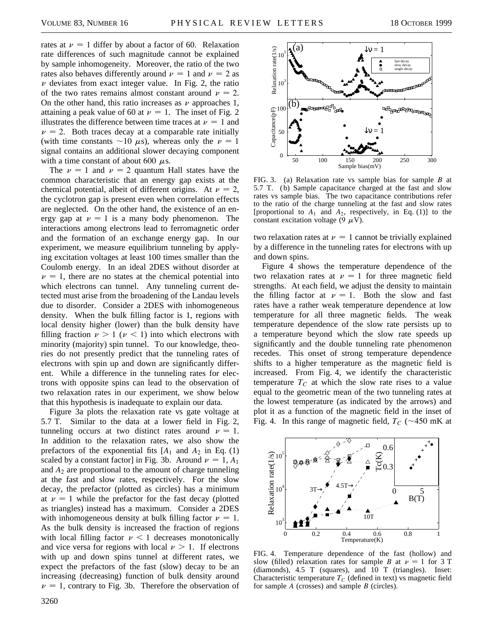rates at  $\nu = 1$  differ by about a factor of 60. Relaxation rate differences of such magnitude cannot be explained by sample inhomogeneity. Moreover, the ratio of the two rates also behaves differently around  $\nu = 1$  and  $\nu = 2$  as  $\nu$  deviates from exact integer value. In Fig. 2, the ratio of the two rates remains almost constant around  $\nu = 2$ . On the other hand, this ratio increases as  $\nu$  approaches 1, attaining a peak value of 60 at  $\nu = 1$ . The inset of Fig. 2 illustrates the difference between time traces at  $\nu = 1$  and  $\nu$  = 2. Both traces decay at a comparable rate initially (with time constants  $\sim$ 10  $\mu$ s), whereas only the  $\nu$  = 1 signal contains an additional slower decaying component with a time constant of about 600  $\mu$ s.

The  $\nu = 1$  and  $\nu = 2$  quantum Hall states have the common characteristic that an energy gap exists at the chemical potential, albeit of different origins. At  $\nu = 2$ , the cyclotron gap is present even when correlation effects are neglected. On the other hand, the existence of an energy gap at  $\nu = 1$  is a many body phenomenon. The interactions among electrons lead to ferromagnetic order and the formation of an exchange energy gap. In our experiment, we measure equilibrium tunneling by applying excitation voltages at least 100 times smaller than the Coulomb energy. In an ideal 2DES without disorder at  $\nu = 1$ , there are no states at the chemical potential into which electrons can tunnel. Any tunneling current detected must arise from the broadening of the Landau levels due to disorder. Consider a 2DES with inhomogeneous density. When the bulk filling factor is 1, regions with local density higher (lower) than the bulk density have filling fraction  $\nu > 1$  ( $\nu < 1$ ) into which electrons with minority (majority) spin tunnel. To our knowledge, theories do not presently predict that the tunneling rates of electrons with spin up and down are significantly different. While a difference in the tunneling rates for electrons with opposite spins can lead to the observation of two relaxation rates in our experiment, we show below that this hypothesis is inadequate to explain our data.

Figure 3a plots the relaxation rate vs gate voltage at 5.7 T. Similar to the data at a lower field in Fig. 2, tunneling occurs at two distinct rates around  $\nu = 1$ . In addition to the relaxation rates, we also show the prefactors of the exponential fits  $[A_1 \text{ and } A_2 \text{ in Eq. (1)}]$ scaled by a constant factor] in Fig. 3b. Around  $\nu = 1, A_1$ and *A*<sup>2</sup> are proportional to the amount of charge tunneling at the fast and slow rates, respectively. For the slow decay, the prefactor (plotted as circles) has a minimum at  $\nu = 1$  while the prefactor for the fast decay (plotted as triangles) instead has a maximum. Consider a 2DES with inhomogeneous density at bulk filling factor  $\nu = 1$ . As the bulk density is increased the fraction of regions with local filling factor  $\nu < 1$  decreases monotonically and vice versa for regions with local  $\nu > 1$ . If electrons with up and down spins tunnel at different rates, we expect the prefactors of the fast (slow) decay to be an increasing (decreasing) function of bulk density around  $\nu = 1$ , contrary to Fig. 3b. Therefore the observation of



FIG. 3. (a) Relaxation rate vs sample bias for sample *B* at 5.7 T. (b) Sample capacitance charged at the fast and slow rates vs sample bias. The two capacitance contributions refer to the ratio of the charge tunneling at the fast and slow rates [proportional to  $A_1$  and  $A_2$ , respectively, in Eq. (1)] to the constant excitation voltage (9  $\mu$ V).

two relaxation rates at  $\nu = 1$  cannot be trivially explained by a difference in the tunneling rates for electrons with up and down spins.

Figure 4 shows the temperature dependence of the two relaxation rates at  $\nu = 1$  for three magnetic field strengths. At each field, we adjust the density to maintain the filling factor at  $\nu = 1$ . Both the slow and fast rates have a rather weak temperature dependence at low temperature for all three magnetic fields. The weak temperature dependence of the slow rate persists up to a temperature beyond which the slow rate speeds up significantly and the double tunneling rate phenomenon recedes. This onset of strong temperature dependence shifts to a higher temperature as the magnetic field is increased. From Fig. 4, we identify the characteristic temperature  $T_c$  at which the slow rate rises to a value equal to the geometric mean of the two tunneling rates at the lowest temperature (as indicated by the arrows) and plot it as a function of the magnetic field in the inset of Fig. 4. In this range of magnetic field,  $T_c$  ( $\sim$ 450 mK at



FIG. 4. Temperature dependence of the fast (hollow) and slow (filled) relaxation rates for sample *B* at  $\nu = 1$  for 3 T (diamonds),  $4.5$  T (squares), and  $10$  T (triangles). Inset: Characteristic temperature  $T_C$  (defined in text) vs magnetic field for sample *A* (crosses) and sample *B* (circles).